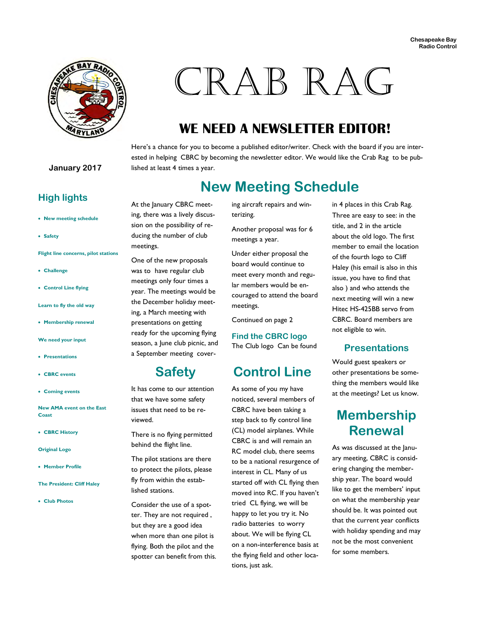

# CRAB RAG

## **WE NEED A NEWSLETTER EDITOR!**

Here's a chance for you to become a published editor/writer. Check with the board if you are interested in helping CBRC by becoming the newsletter editor. We would like the Crab Rag to be published at least 4 times a year.

#### **New Meeting Schedule**

**High lights** 

- **New meeting schedule**
- **Safety**

**Flight line concerns, pilot stations** 

- **Challenge**
- **Control Line flying**

**Learn to fly the old way** 

**Membership renewal** 

**We need your input** 

- **Presentations**
- **CBRC events**
- **Coming events**

**New AMA event on the East Coast** 

- **CBRC History**
- **Original Logo**
- **Member Profile**

**The President: Cliff Haley** 

**Club Photos** 

At the January CBRC meeting, there was a lively discussion on the possibility of reducing the number of club meetings.

One of the new proposals was to have regular club meetings only four times a year. The meetings would be the December holiday meeting, a March meeting with presentations on getting ready for the upcoming flying season, a June club picnic, and a September meeting cover-

#### **Safety**

It has come to our attention that we have some safety issues that need to be reviewed.

There is no flying permitted

behind the flight line. The pilot stations are there to protect the pilots, please fly from within the established stations.

Consider the use of a spotter. They are not required , but they are a good idea when more than one pilot is flying. Both the pilot and the spotter can benefit from this. ing aircraft repairs and winterizing.

Another proposal was for 6 meetings a year.

Under either proposal the board would continue to meet every month and regular members would be encouraged to attend the board meetings.

Continued on page 2

**Find the CBRC logo**  The Club logo Can be found

#### **Control Line**

As some of you my have noticed, several members of CBRC have been taking a step back to fly control line (CL) model airplanes. While CBRC is and will remain an RC model club, there seems to be a national resurgence of interest in CL. Many of us started off with CL flying then moved into RC. If you haven't tried CL flying, we will be happy to let you try it. No radio batteries to worry about. We will be flying CL on a non-interference basis at the flying field and other locations, just ask.

in 4 places in this Crab Rag. Three are easy to see: in the title, and 2 in the article about the old logo. The first member to email the location of the fourth logo to Cliff Haley (his email is also in this issue, you have to find that also ) and who attends the next meeting will win a new Hitec HS-425BB servo from CBRC. Board members are not eligible to win.

#### **Presentations**

Would guest speakers or other presentations be something the members would like at the meetings? Let us know.

#### **Membership Renewal**

As was discussed at the January meeting, CBRC is considering changing the membership year. The board would like to get the members' input on what the membership year should be. It was pointed out that the current year conflicts with holiday spending and may not be the most convenient for some members.

#### **January 2017**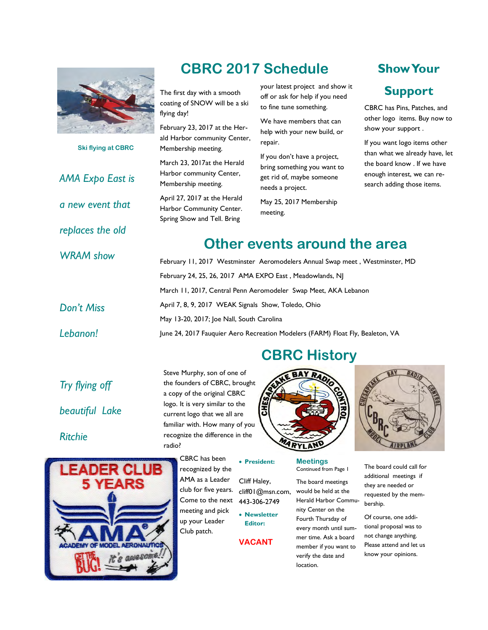

**Ski flying at CBRC** 

*AMA Expo East is* 

*a new event that* 

*replaces the old* 

*WRAM show* 

Don't

 $Leban$ 

## **CBRC 2017 Schedule**

The first day with a smooth coating of SNOW will be a ski flying day!

February 23, 2017 at the Herald Harbor community Center, Membership meeting.

March 23, 2017at the Herald Harbor community Center, Membership meeting.

April 27, 2017 at the Herald Harbor Community Center. Spring Show and Tell. Bring

your latest project and show it off or ask for help if you need to fine tune something.

We have members that can help with your new build, or repair.

If you don't have a project, bring something you want to get rid of, maybe someone needs a project.

May 25, 2017 Membership meeting.

## **Show Your**

#### **Support**

CBRC has Pins, Patches, and other logo items. Buy now to show your support .

If you want logo items other than what we already have, let the board know . If we have enough interest, we can research adding those items.

#### **Other events around the area**

| VI SHOW<br><b>Miss</b> | February 11, 2017 Westminster Aeromodelers Annual Swap meet, Westminster, MD   |
|------------------------|--------------------------------------------------------------------------------|
|                        | February 24, 25, 26, 2017 AMA EXPO East, Meadowlands, NJ                       |
|                        | March 11, 2017, Central Penn Aeromodeler Swap Meet, AKA Lebanon                |
|                        | April 7, 8, 9, 2017 WEAK Signals Show, Toledo, Ohio                            |
|                        | May 13-20, 2017; Joe Nall, South Carolina                                      |
| on!                    | June 24, 2017 Fauquier Aero Recreation Modelers (FARM) Float Fly, Bealeton, VA |

### **CBRC History**

*Try flying off beautiful Lake* 

*Ritchie* 



Steve Murphy, son of one of the founders of CBRC, brought a copy of the original CBRC logo. It is very similar to the current logo that we all are familiar with. How many of you recognize the difference in the radio?





recognized by the AMA as a Leader club for five years. Come to the next meeting and pick **President:**  Cliff Haley, cliff01@msn.com, 443-306-2749 **Newsletter** 

up your Leader Club patch.

**Editor: VACANT**  **Meetings**  Continued from Page 1

The board meetings would be held at the Herald Harbor Community Center on the Fourth Thursday of every month until summer time. Ask a board member if you want to verify the date and location.

The board could call for additional meetings if they are needed or requested by the membership.

Of course, one additional proposal was to not change anything. Please attend and let us know your opinions.